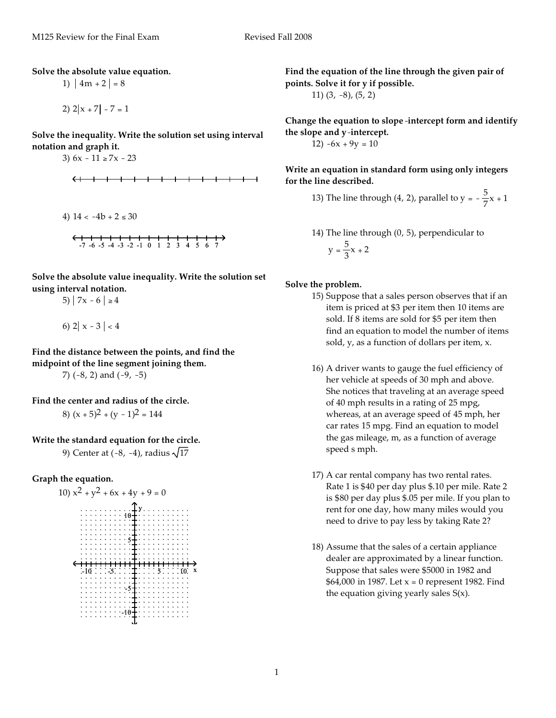**Solve the absolute value equation.**

1)  $|4m + 2| = 8$ 

2)  $2|x + 7| - 7 = 1$ 

**Solve the inequality. Write the solution set using interval notation and graph it.**

3)  $6x - 11 \ge 7x - 23$ 

4) 
$$
14 < -4b + 2 \le 30
$$
  
\n  
\n  
\n  
\n-7 -6 -5 -4 -3 -2 -1 0 1 2 3 4 5 6 7

**Solve the absolute value inequality. Write the solution set using interval notation.**

5)  $7x - 6 \ge 4$ 

6)  $2 | x - 3 | < 4$ 

**Find the distance between the points, and find the midpoint of the line segment joining them.**

7)  $(-8, 2)$  and  $(-9, -5)$ 

**Find the center and radius of the circle.**

8) 
$$
(x + 5)^2 + (y - 1)^2 = 144
$$

**Write the standard equation for the circle.**

9) Center at  $(-8, -4)$ , radius  $\sqrt{17}$ 

**Graph the equation.**



**Find the equation of the line through the given pair of points. Solve it for y if possible.** 11) (3, -8), (5, 2)

**Change the equation to slope**-**intercept form and identify the slope and y**-**intercept.**

12)  $-6x + 9y = 10$ 

**Write an equation in standard form using only integers for the line described.**

- 13) The line through (4, 2), parallel to  $y = -\frac{5}{7}x + 1$
- 14) The line through (0, 5), perpendicular to  $y = \frac{5}{3}x + 2$

#### **Solve the problem.**

- 15) Suppose that a sales person observes that if an item is priced at \$3 per item then 10 items are sold. If 8 items are sold for \$5 per item then find an equation to model the number of items sold, y, as a function of dollars per item, x.
- 16) A driver wants to gauge the fuel efficiency of her vehicle at speeds of 30 mph and above. She notices that traveling at an average speed of 40 mph results in a rating of 25 mpg, whereas, at an average speed of 45 mph, her car rates 15 mpg. Find an equation to model the gas mileage, m, as a function of average speed s mph.
- 17) A car rental company has two rental rates. Rate 1 is \$40 per day plus \$.10 per mile. Rate 2 is \$80 per day plus \$.05 per mile. If you plan to rent for one day, how many miles would you need to drive to pay less by taking Rate 2?
- 18) Assume that the sales of a certain appliance dealer are approximated by a linear function. Suppose that sales were \$5000 in 1982 and \$64,000 in 1987. Let  $x = 0$  represent 1982. Find the equation giving yearly sales S(x).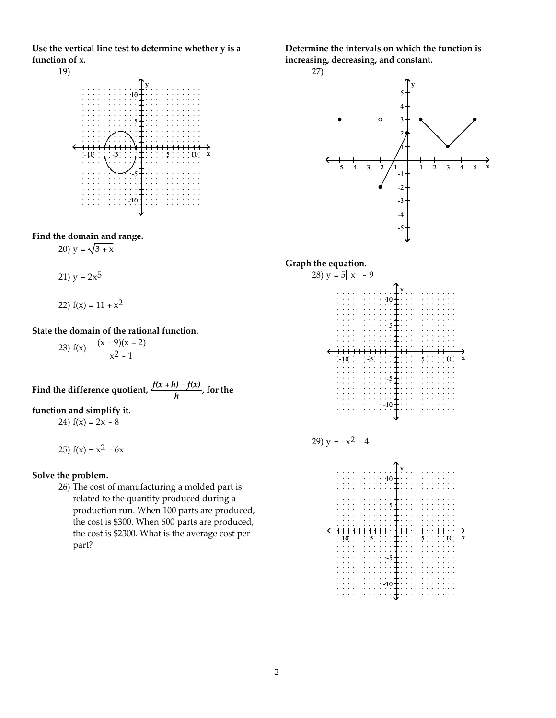**Use the vertical line test to determine whether y is a function of x.**



**Find the domain and range.**

$$
20 \, \text{y} = \sqrt{3 + x}
$$

$$
21) y = 2x^5
$$

22) 
$$
f(x) = 11 + x^2
$$

**State the domain of the rational function.**

23)  $f(x) = \frac{(x - 9)(x + 2)}{2}$  $x^2 - 1$ 

Find the difference quotient,  $\frac{f(x+h)-f(x)}{h}$ , for the

### **function and simplify it.**

24)  $f(x) = 2x - 8$ 

25)  $f(x) = x^2 - 6x$ 

#### **Solve the problem.**

26) The cost of manufacturing a molded part is related to the quantity produced during a production run. When 100 parts are produced, the cost is \$300. When 600 parts are produced, the cost is \$2300. What is the average cost per part?

**Determine the intervals on which the function is increasing, decreasing, and constant.**









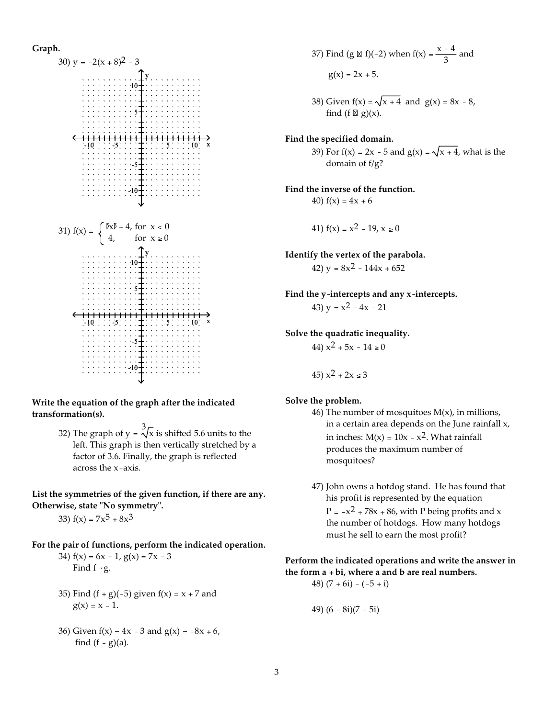### **Graph.**



**Write the equation of the graph after the indicated transformation(s).**

> 32) The graph of y =  $\frac{3}{\sqrt{x}}$  is shifted 5.6 units to the left. This graph is then vertically stretched by a factor of 3.6. Finally, the graph is reflected across the x-axis.

### **List the symmetries of the given function, if there are any. Otherwise, state -No symmetry-.**

33)  $f(x) = 7x^5 + 8x^3$ 

#### **For the pair of functions, perform the indicated operation.**

34)  $f(x) = 6x - 1$ ,  $g(x) = 7x - 3$ Find  $f \cdot g$ .

- 35) Find  $(f + g)(-5)$  given  $f(x) = x + 7$  and  $g(x) = x - 1.$
- 36) Given  $f(x) = 4x 3$  and  $g(x) = -8x + 6$ , find  $(f - g)(a)$ .

37) Find (g & f)(-2) when f(x) = 
$$
\frac{x - 4}{3}
$$
 and  
g(x) = 2x + 5.

38) Given  $f(x) = \sqrt{x + 4}$  and  $g(x) = 8x - 8$ , find (f  $\mathbb{Z}$  g)(x).

### **Find the specified domain.**

39) For  $f(x) = 2x - 5$  and  $g(x) = \sqrt{x + 4}$ , what is the domain of f/g?

**Find the inverse of the function.** 40)  $f(x) = 4x + 6$ 

41) 
$$
f(x) = x^2 - 19, x \ge 0
$$

**Identify the vertex of the parabola.**

42)  $y = 8x^2 - 144x + 652$ 

**Find the y**-**intercepts and any x**-**intercepts.** 43)  $y = x^2 - 4x - 21$ 

**Solve the quadratic inequality.**

44)  $x^2 + 5x - 14 \ge 0$ 

45)  $x^2 + 2x \le 3$ 

### **Solve the problem.**

- 46) The number of mosquitoes  $M(x)$ , in millions, in a certain area depends on the June rainfall x, in inches:  $M(x) = 10x - x^2$ . What rainfall produces the maximum number of mosquitoes?
- 47) John owns a hotdog stand. He has found that his profit is represented by the equation  $P = -x^2 + 78x + 86$ , with P being profits and x the number of hotdogs. How many hotdogs must he sell to earn the most profit?

### **Perform the indicated operations and write the answer in the form a** + **bi, where a and b are real numbers.**

$$
48) (7 + 6i) - (-5 + i)
$$

49) (6 - 8i)(7 - 5i)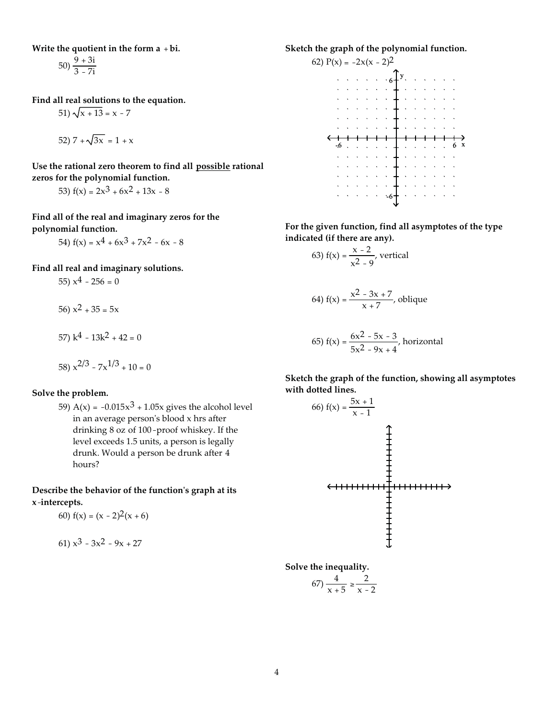**Write the quotient in the form a** + **bi.**

50)  $\frac{9+3i}{3-7i}$ 

**Find all real solutions to the equation.**

$$
51) \sqrt{x + 13} = x - 7
$$

52) 
$$
7 + \sqrt{3x} = 1 + x
$$

**Use the rational zero theorem to find all possible rational zeros for the polynomial function.**

53)  $f(x) = 2x^3 + 6x^2 + 13x - 8$ 

**Find all of the real and imaginary zeros for the polynomial function.**

54) 
$$
f(x) = x^4 + 6x^3 + 7x^2 - 6x - 8
$$

**Find all real and imaginary solutions.**

55)  $x^4 - 256 = 0$ 56)  $x^2 + 35 = 5x$ 57)  $k^4 - 13k^2 + 42 = 0$ 

58) 
$$
x^{2/3} - 7x^{1/3} + 10 = 0
$$

### **Solve the problem.**

59) A(x) =  $-0.015x^{3} + 1.05x$  gives the alcohol level in an average person's blood x hrs after drinking 8 oz of 100-proof whiskey. If the level exceeds 1.5 units, a person is legally drunk. Would a person be drunk after 4 hours?

Describe the behavior of the function's graph at its **x**-**intercepts.**

60) 
$$
f(x) = (x - 2)^2(x + 6)
$$

61) 
$$
x^3 - 3x^2 - 9x + 27
$$

**Sketch the graph of the polynomial function.**



**For the given function, find all asymptotes of the type indicated (if there are any).**

63) 
$$
f(x) = \frac{x-2}{x^2-9}
$$
, vertical

64) f(x) = 
$$
\frac{x^2 - 3x + 7}{x + 7}
$$
, oblique

65) 
$$
f(x) = \frac{6x^2 - 5x - 3}{5x^2 - 9x + 4}
$$
, horizontal

**Sketch the graph of the function, showing all asymptotes with dotted lines.**



**Solve the inequality.**

$$
(67) \frac{4}{x+5} \ge \frac{2}{x-2}
$$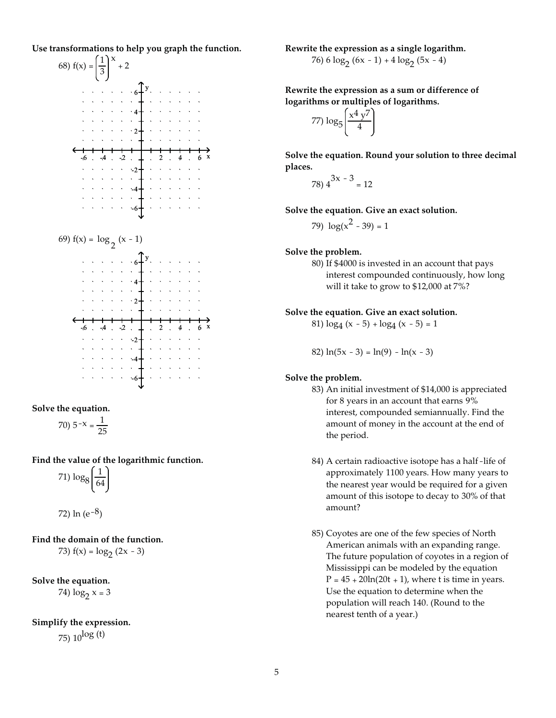**Use transformations to help you graph the function.**



**Solve the equation.**

$$
70) \ 5^{-x} = \frac{1}{25}
$$

**Find the value of the logarithmic function.**

$$
71)\log_8\left(\frac{1}{64}\right)
$$

72) 
$$
\ln(e^{-8})
$$

**Find the domain of the function.** 73)  $f(x) = log_2 (2x - 3)$ 

**Solve the equation.** 74)  $\log_2 x = 3$ 

### **Simplify the expression.**

75)  $10^{log(t)}$ 

**Rewrite the expression as a single logarithm.** 76)  $6 \log_2 (6x - 1) + 4 \log_2 (5x - 4)$ 

**Rewrite the expression as a sum or difference of logarithms or multiples of logarithms.**

$$
77) \log_5 \left( \frac{x^4 y^7}{4} \right)
$$

**Solve the equation. Round your solution to three decimal places.**

$$
78) 4^{3x-3} = 12
$$

**Solve the equation. Give an exact solution.**

79) 
$$
\log(x^2 - 39) = 1
$$

### **Solve the problem.**

80) If \$4000 is invested in an account that pays interest compounded continuously, how long will it take to grow to \$12,000 at 7%?

### **Solve the equation. Give an exact solution.**

81)  $log_4(x - 5) + log_4(x - 5) = 1$ 

82)  $ln(5x - 3) = ln(9) - ln(x - 3)$ 

### **Solve the problem.**

- 83) An initial investment of \$14,000 is appreciated for 8 years in an account that earns 9% interest, compounded semiannually. Find the amount of money in the account at the end of the period.
- 84) A certain radioactive isotope has a half-life of approximately 1100 years. How many years to the nearest year would be required for a given amount of this isotope to decay to 30% of that amount?
- 85) Coyotes are one of the few species of North American animals with an expanding range. The future population of coyotes in a region of Mississippi can be modeled by the equation  $P = 45 + 20\ln(20t + 1)$ , where t is time in years. Use the equation to determine when the population will reach 140. (Round to the nearest tenth of a year.)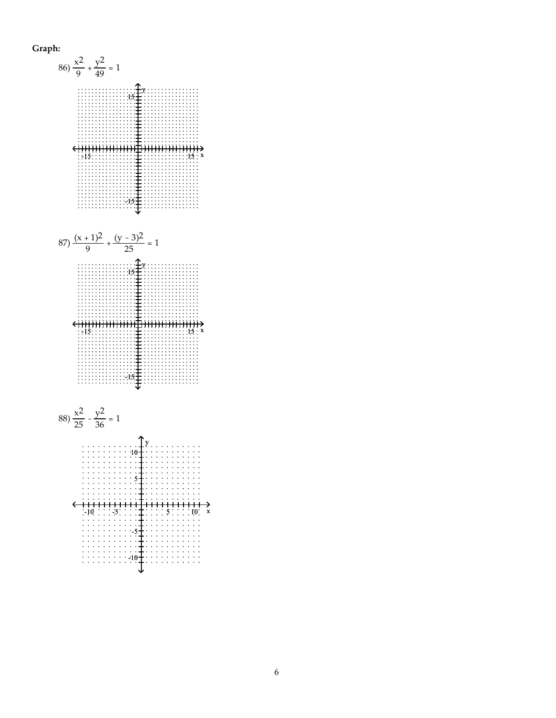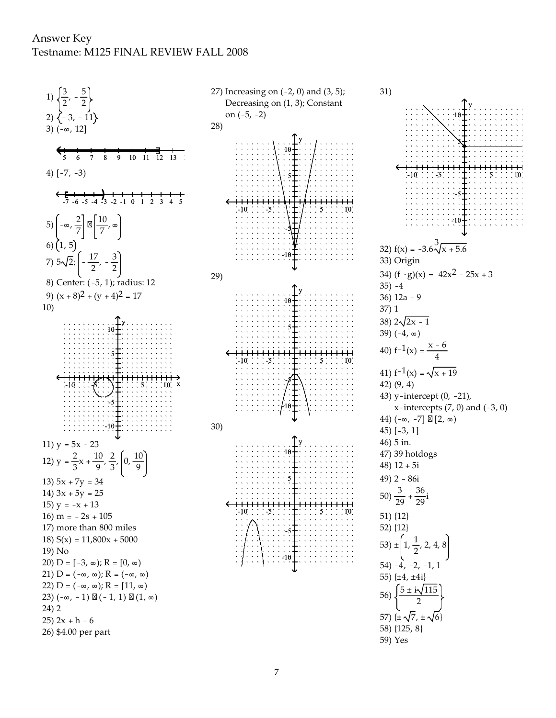## Answer Key Testname: M125 FINAL REVIEW FALL 2008

1)  $\frac{3}{2}$  $\frac{5}{2}$  $2)$   $\{-3, -11\}$ 3)  $(-\infty, 12]$ 8  $\overline{9}$  $10 \quad 11 \quad \overline{1}2 \quad 13 \quad 1$ 4)  $[-7, -3)$  $-4$   $-3$   $-2$   $-1$  0  $1\quad 2\quad 3$ 5)  $\left(-\infty, \frac{2}{7}\right] \boxtimes \left[\frac{10}{7}, \infty\right]$ 6)  $(1, 5)$  $\left[-\frac{17}{2},-\frac{3}{2}\right]$ 7)  $5\sqrt{2}$ ; 8) Center: (-5, 1); radius: 12 9)  $(x+8)^2 + (y+4)^2 = 17$  $10)$ 11)  $y = 5x - 23$ 12)  $y = \frac{2}{3}x + \frac{10}{9}, \frac{2}{3}, \left(0, \frac{10}{9}\right)$ 13)  $5x + 7y = 34$ 14)  $3x + 5y = 25$ 15)  $y = -x + 13$ 16)  $m = -2s + 105$ 17) more than 800 miles 18)  $S(x) = 11,800x + 5000$ 19) No 20) D =  $[-3, \infty); R = [0, \infty)$ 21) D =  $(-\infty, \infty)$ ; R =  $(-\infty, \infty)$ 22)  $D = (-\infty, \infty); R = [11, \infty)$ 23)  $(-\infty, -1) \boxtimes (-1, 1) \boxtimes (1, \infty)$  $24) 2$  $25) 2x + h - 6$ 26) \$4.00 per part